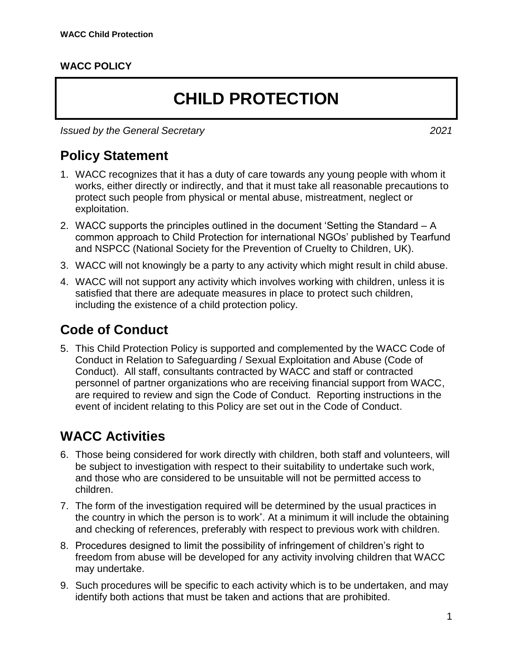#### **WACC POLICY**

# **CHILD PROTECTION**

*Issued by the General Secretary 2021*

**Policy Statement**

- 1. WACC recognizes that it has a duty of care towards any young people with whom it works, either directly or indirectly, and that it must take all reasonable precautions to protect such people from physical or mental abuse, mistreatment, neglect or exploitation.
- 2. WACC supports the principles outlined in the document 'Setting the Standard A common approach to Child Protection for international NGOs' published by Tearfund and NSPCC (National Society for the Prevention of Cruelty to Children, UK).
- 3. WACC will not knowingly be a party to any activity which might result in child abuse.
- 4. WACC will not support any activity which involves working with children, unless it is satisfied that there are adequate measures in place to protect such children, including the existence of a child protection policy.

#### **Code of Conduct**

5. This Child Protection Policy is supported and complemented by the WACC Code of Conduct in Relation to Safeguarding / Sexual Exploitation and Abuse (Code of Conduct). All staff, consultants contracted by WACC and staff or contracted personnel of partner organizations who are receiving financial support from WACC, are required to review and sign the Code of Conduct. Reporting instructions in the event of incident relating to this Policy are set out in the Code of Conduct.

#### **WACC Activities**

- 6. Those being considered for work directly with children, both staff and volunteers, will be subject to investigation with respect to their suitability to undertake such work, and those who are considered to be unsuitable will not be permitted access to children.
- 7. The form of the investigation required will be determined by the usual practices in the country in which the person is to work\* . At a minimum it will include the obtaining and checking of references, preferably with respect to previous work with children.
- 8. Procedures designed to limit the possibility of infringement of children's right to freedom from abuse will be developed for any activity involving children that WACC may undertake.
- 9. Such procedures will be specific to each activity which is to be undertaken, and may identify both actions that must be taken and actions that are prohibited.